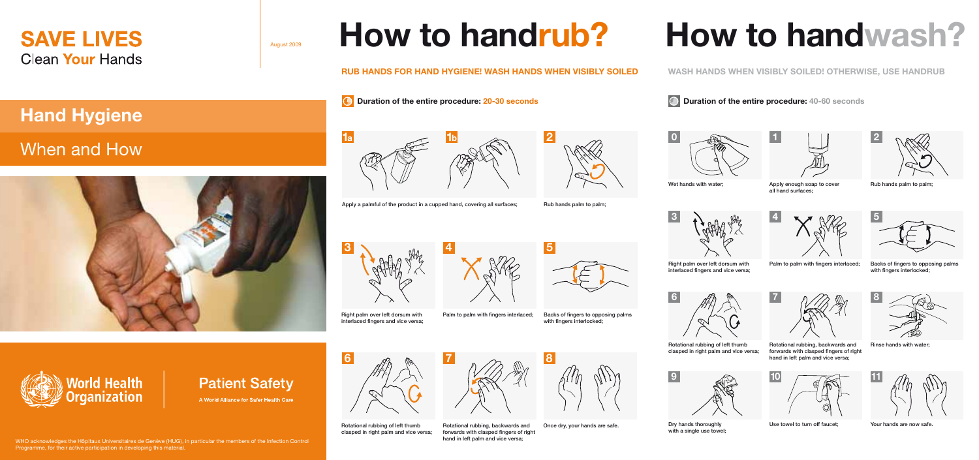

## **Hand Hygiene**

## When and How





**Patient Safety** A World Alliance for Safer Health Care

August 2009



**How to handrub?**



Apply a palmful of the product in a cupped hand, covering all surfaces;

Rub hands palm to palm;

**2**



Right palm over left dorsum with



Palm to palm with fingers interlaced: Backs of fingers to opposing palms with fingers interlocked;



Rotational rubbing of left thumb clasped in right palm and vice versa;

Rotational rubbing, backwards and forwards with clasped fingers of right hand in left palm and vice versa;



## **6**



Rotational rubbing of left thumb clasped in right palm and vice versa;



Dry hands thoroughly with a single use towel: Once dry, your hands are safe. The same of the Dry hands thoroughly and the Use towel to turn off faucet;

Your hands are now safe.

## **How to handwash?**

**WASH HANDS WHEN VISIBLY SOILED! OTHERWISE, USE HANDRUB** 

**Duration of the entire procedure:** 40-60 seconds









Apply enough soap to cover all hand surfaces;

Rub hands palm to palm;

**3**





Right palm over left dorsum with interlaced fingers and vice versa;

with fingers interlocked:



forwards with clasped fingers of right hand in left palm and vice versa;



WHO acknowledges the Hôpitaux Universitaires de Genève (HUG), in particular the members of the Infection Control Programme, for their active participation in developing this material.

















Palm to palm with fingers interlaced; Backs of fingers to opposing palms

**7 8**

Rotational rubbing, backwards and Rinse hands with water;

**10**